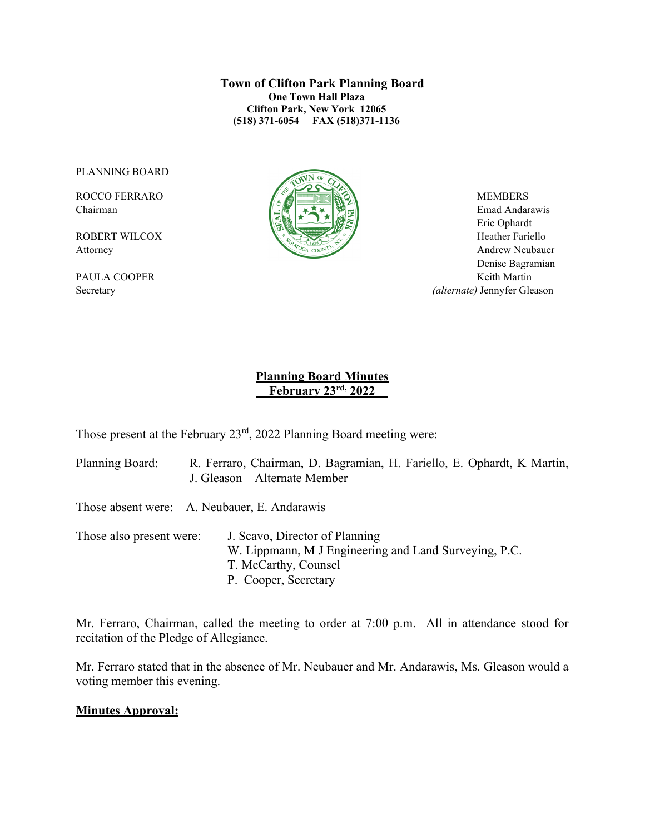**Town of Clifton Park Planning Board One Town Hall Plaza Clifton Park, New York 12065 (518) 371-6054 FAX (518)371-1136**

PLANNING BOARD



Chairman Emad Andarawis  $\|\cdot\|$   $\leq$   $\|\cdot\|$   $\leq$   $\leq$   $\|\cdot\|$   $\leq$   $\|\cdot\|$   $\leq$   $\leq$  Emad Andarawis Eric Ophardt Attorney Andrew Neubauer Denise Bagramian PAULA COOPER Keith Martin Secretary *(alternate)* Jennyfer Gleason

## **Planning Board Minutes \_\_February 23rd, 2022\_\_**

Those present at the February 23rd, 2022 Planning Board meeting were:

Planning Board: R. Ferraro, Chairman, D. Bagramian, H. Fariello, E. Ophardt, K Martin, J. Gleason – Alternate Member

Those absent were: A. Neubauer, E. Andarawis

Those also present were: J. Scavo, Director of Planning W. Lippmann, M J Engineering and Land Surveying, P.C. T. McCarthy, Counsel P. Cooper, Secretary

Mr. Ferraro, Chairman, called the meeting to order at 7:00 p.m. All in attendance stood for recitation of the Pledge of Allegiance.

Mr. Ferraro stated that in the absence of Mr. Neubauer and Mr. Andarawis, Ms. Gleason would a voting member this evening.

### **Minutes Approval:**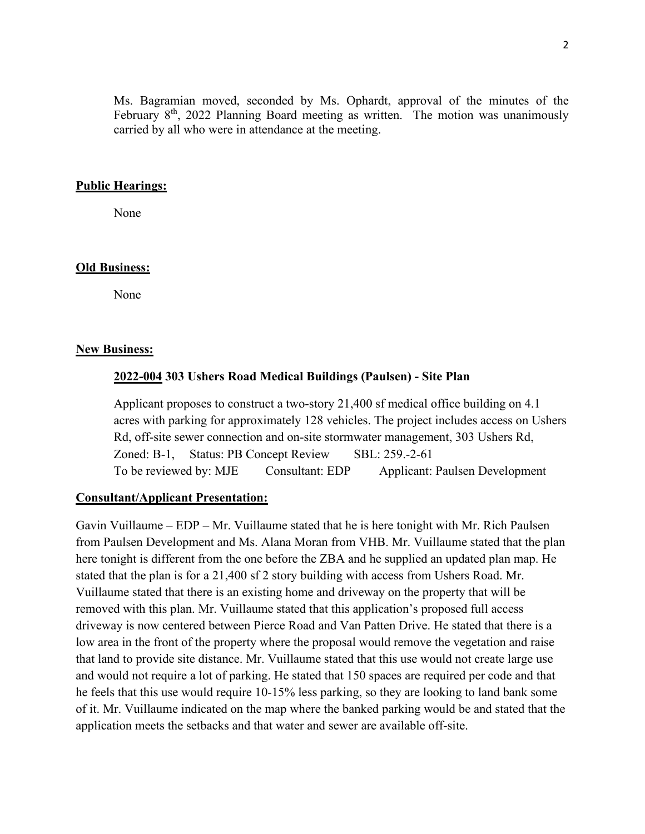Ms. Bagramian moved, seconded by Ms. Ophardt, approval of the minutes of the February  $8<sup>th</sup>$ , 2022 Planning Board meeting as written. The motion was unanimously carried by all who were in attendance at the meeting.

### **Public Hearings:**

None

### **Old Business:**

None

#### **New Business:**

#### **2022-004 303 Ushers Road Medical Buildings (Paulsen) - Site Plan**

Applicant proposes to construct a two-story 21,400 sf medical office building on 4.1 acres with parking for approximately 128 vehicles. The project includes access on Ushers Rd, off-site sewer connection and on-site stormwater management, 303 Ushers Rd, Zoned: B-1, Status: PB Concept Review SBL: 259.-2-61 To be reviewed by: MJE Consultant: EDP Applicant: Paulsen Development

### **Consultant/Applicant Presentation:**

Gavin Vuillaume – EDP – Mr. Vuillaume stated that he is here tonight with Mr. Rich Paulsen from Paulsen Development and Ms. Alana Moran from VHB. Mr. Vuillaume stated that the plan here tonight is different from the one before the ZBA and he supplied an updated plan map. He stated that the plan is for a 21,400 sf 2 story building with access from Ushers Road. Mr. Vuillaume stated that there is an existing home and driveway on the property that will be removed with this plan. Mr. Vuillaume stated that this application's proposed full access driveway is now centered between Pierce Road and Van Patten Drive. He stated that there is a low area in the front of the property where the proposal would remove the vegetation and raise that land to provide site distance. Mr. Vuillaume stated that this use would not create large use and would not require a lot of parking. He stated that 150 spaces are required per code and that he feels that this use would require 10-15% less parking, so they are looking to land bank some of it. Mr. Vuillaume indicated on the map where the banked parking would be and stated that the application meets the setbacks and that water and sewer are available off-site.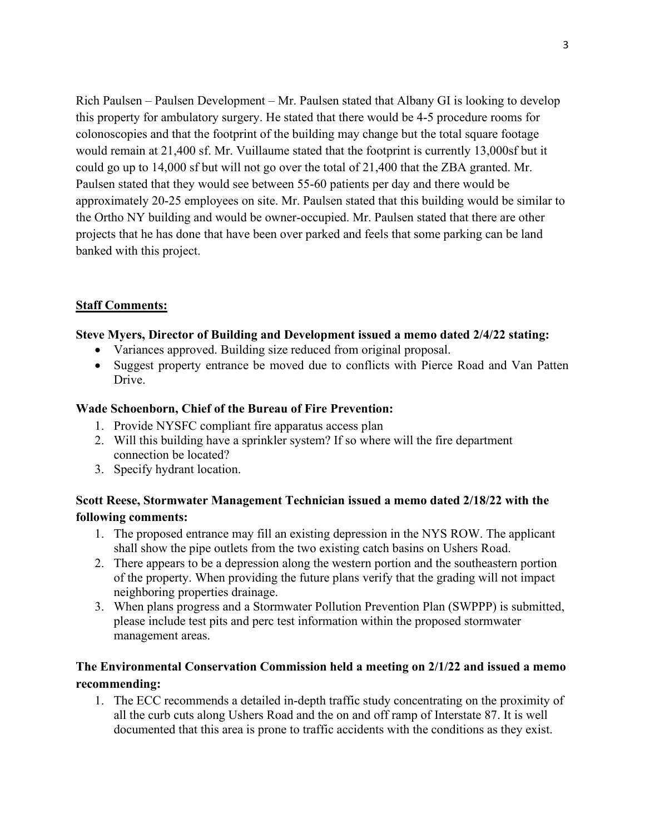Rich Paulsen – Paulsen Development – Mr. Paulsen stated that Albany GI is looking to develop this property for ambulatory surgery. He stated that there would be 4-5 procedure rooms for colonoscopies and that the footprint of the building may change but the total square footage would remain at 21,400 sf. Mr. Vuillaume stated that the footprint is currently 13,000sf but it could go up to 14,000 sf but will not go over the total of 21,400 that the ZBA granted. Mr. Paulsen stated that they would see between 55-60 patients per day and there would be approximately 20-25 employees on site. Mr. Paulsen stated that this building would be similar to the Ortho NY building and would be owner-occupied. Mr. Paulsen stated that there are other projects that he has done that have been over parked and feels that some parking can be land banked with this project.

## **Staff Comments:**

### **Steve Myers, Director of Building and Development issued a memo dated 2/4/22 stating:**

- Variances approved. Building size reduced from original proposal.
- Suggest property entrance be moved due to conflicts with Pierce Road and Van Patten Drive.

## **Wade Schoenborn, Chief of the Bureau of Fire Prevention:**

- 1. Provide NYSFC compliant fire apparatus access plan
- 2. Will this building have a sprinkler system? If so where will the fire department connection be located?
- 3. Specify hydrant location.

# **Scott Reese, Stormwater Management Technician issued a memo dated 2/18/22 with the following comments:**

- 1. The proposed entrance may fill an existing depression in the NYS ROW. The applicant shall show the pipe outlets from the two existing catch basins on Ushers Road.
- 2. There appears to be a depression along the western portion and the southeastern portion of the property. When providing the future plans verify that the grading will not impact neighboring properties drainage.
- 3. When plans progress and a Stormwater Pollution Prevention Plan (SWPPP) is submitted, please include test pits and perc test information within the proposed stormwater management areas.

# **The Environmental Conservation Commission held a meeting on 2/1/22 and issued a memo recommending:**

1. The ECC recommends a detailed in-depth traffic study concentrating on the proximity of all the curb cuts along Ushers Road and the on and off ramp of Interstate 87. It is well documented that this area is prone to traffic accidents with the conditions as they exist.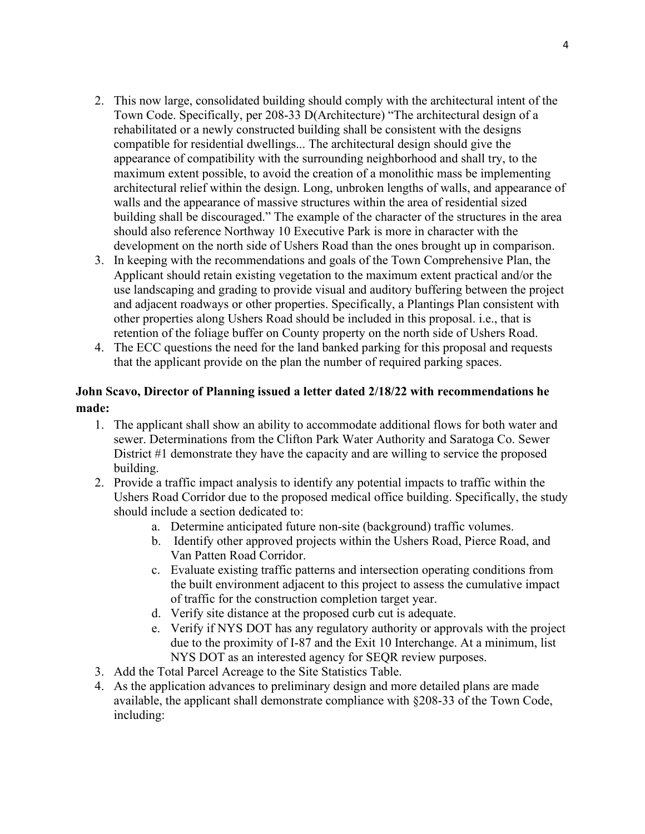- 2. This now large, consolidated building should comply with the architectural intent of the Town Code. Specifically, per 208-33 D(Architecture) "The architectural design of a rehabilitated or a newly constructed building shall be consistent with the designs compatible for residential dwellings... The architectural design should give the appearance of compatibility with the surrounding neighborhood and shall try, to the maximum extent possible, to avoid the creation of a monolithic mass be implementing architectural relief within the design. Long, unbroken lengths of walls, and appearance of walls and the appearance of massive structures within the area of residential sized building shall be discouraged." The example of the character of the structures in the area should also reference Northway 10 Executive Park is more in character with the development on the north side of Ushers Road than the ones brought up in comparison.
- 3. In keeping with the recommendations and goals of the Town Comprehensive Plan, the Applicant should retain existing vegetation to the maximum extent practical and/or the use landscaping and grading to provide visual and auditory buffering between the project and adjacent roadways or other properties. Specifically, a Plantings Plan consistent with other properties along Ushers Road should be included in this proposal. i.e., that is retention of the foliage buffer on County property on the north side of Ushers Road.
- 4. The ECC questions the need for the land banked parking for this proposal and requests that the applicant provide on the plan the number of required parking spaces.

## **John Scavo, Director of Planning issued a letter dated 2/18/22 with recommendations he made:**

- 1. The applicant shall show an ability to accommodate additional flows for both water and sewer. Determinations from the Clifton Park Water Authority and Saratoga Co. Sewer District #1 demonstrate they have the capacity and are willing to service the proposed building.
- 2. Provide a traffic impact analysis to identify any potential impacts to traffic within the Ushers Road Corridor due to the proposed medical office building. Specifically, the study should include a section dedicated to:
	- a. Determine anticipated future non-site (background) traffic volumes.
	- b. Identify other approved projects within the Ushers Road, Pierce Road, and Van Patten Road Corridor.
	- c. Evaluate existing traffic patterns and intersection operating conditions from the built environment adjacent to this project to assess the cumulative impact of traffic for the construction completion target year.
	- d. Verify site distance at the proposed curb cut is adequate.
	- e. Verify if NYS DOT has any regulatory authority or approvals with the project due to the proximity of I-87 and the Exit 10 Interchange. At a minimum, list NYS DOT as an interested agency for SEQR review purposes.
- 3. Add the Total Parcel Acreage to the Site Statistics Table.
- 4. As the application advances to preliminary design and more detailed plans are made available, the applicant shall demonstrate compliance with §208-33 of the Town Code, including: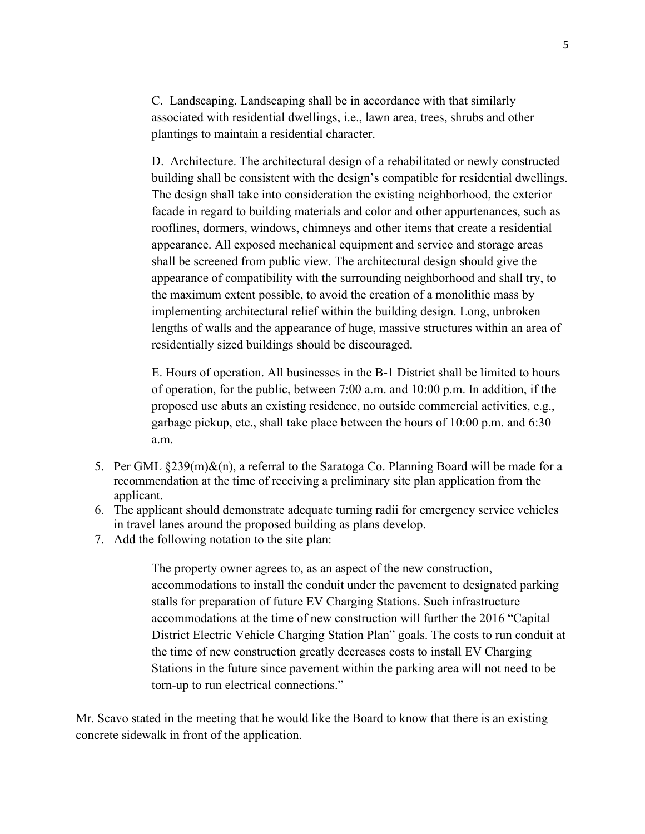C. Landscaping. Landscaping shall be in accordance with that similarly associated with residential dwellings, i.e., lawn area, trees, shrubs and other plantings to maintain a residential character.

D. Architecture. The architectural design of a rehabilitated or newly constructed building shall be consistent with the design's compatible for residential dwellings. The design shall take into consideration the existing neighborhood, the exterior facade in regard to building materials and color and other appurtenances, such as rooflines, dormers, windows, chimneys and other items that create a residential appearance. All exposed mechanical equipment and service and storage areas shall be screened from public view. The architectural design should give the appearance of compatibility with the surrounding neighborhood and shall try, to the maximum extent possible, to avoid the creation of a monolithic mass by implementing architectural relief within the building design. Long, unbroken lengths of walls and the appearance of huge, massive structures within an area of residentially sized buildings should be discouraged.

E. Hours of operation. All businesses in the B-1 District shall be limited to hours of operation, for the public, between 7:00 a.m. and 10:00 p.m. In addition, if the proposed use abuts an existing residence, no outside commercial activities, e.g., garbage pickup, etc., shall take place between the hours of 10:00 p.m. and 6:30 a.m.

- 5. Per GML  $\S 239(m)\&(n)$ , a referral to the Saratoga Co. Planning Board will be made for a recommendation at the time of receiving a preliminary site plan application from the applicant.
- 6. The applicant should demonstrate adequate turning radii for emergency service vehicles in travel lanes around the proposed building as plans develop.
- 7. Add the following notation to the site plan:

The property owner agrees to, as an aspect of the new construction, accommodations to install the conduit under the pavement to designated parking stalls for preparation of future EV Charging Stations. Such infrastructure accommodations at the time of new construction will further the 2016 "Capital District Electric Vehicle Charging Station Plan" goals. The costs to run conduit at the time of new construction greatly decreases costs to install EV Charging Stations in the future since pavement within the parking area will not need to be torn-up to run electrical connections."

Mr. Scavo stated in the meeting that he would like the Board to know that there is an existing concrete sidewalk in front of the application.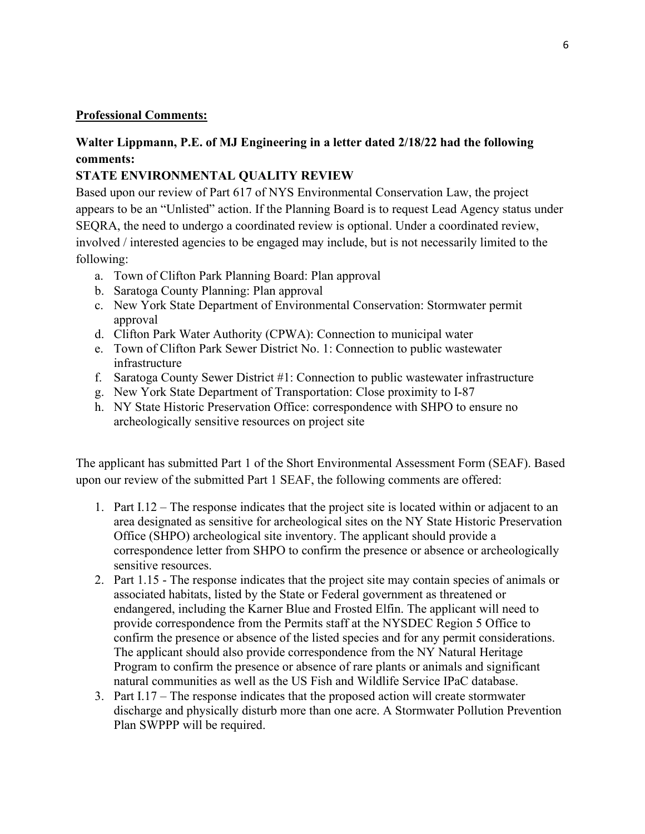### **Professional Comments:**

# **Walter Lippmann, P.E. of MJ Engineering in a letter dated 2/18/22 had the following comments:**

# **STATE ENVIRONMENTAL QUALITY REVIEW**

Based upon our review of Part 617 of NYS Environmental Conservation Law, the project appears to be an "Unlisted" action. If the Planning Board is to request Lead Agency status under SEQRA, the need to undergo a coordinated review is optional. Under a coordinated review, involved / interested agencies to be engaged may include, but is not necessarily limited to the following:

- a. Town of Clifton Park Planning Board: Plan approval
- b. Saratoga County Planning: Plan approval
- c. New York State Department of Environmental Conservation: Stormwater permit approval
- d. Clifton Park Water Authority (CPWA): Connection to municipal water
- e. Town of Clifton Park Sewer District No. 1: Connection to public wastewater infrastructure
- f. Saratoga County Sewer District #1: Connection to public wastewater infrastructure
- g. New York State Department of Transportation: Close proximity to I-87
- h. NY State Historic Preservation Office: correspondence with SHPO to ensure no archeologically sensitive resources on project site

The applicant has submitted Part 1 of the Short Environmental Assessment Form (SEAF). Based upon our review of the submitted Part 1 SEAF, the following comments are offered:

- 1. Part I.12 The response indicates that the project site is located within or adjacent to an area designated as sensitive for archeological sites on the NY State Historic Preservation Office (SHPO) archeological site inventory. The applicant should provide a correspondence letter from SHPO to confirm the presence or absence or archeologically sensitive resources.
- 2. Part 1.15 The response indicates that the project site may contain species of animals or associated habitats, listed by the State or Federal government as threatened or endangered, including the Karner Blue and Frosted Elfin. The applicant will need to provide correspondence from the Permits staff at the NYSDEC Region 5 Office to confirm the presence or absence of the listed species and for any permit considerations. The applicant should also provide correspondence from the NY Natural Heritage Program to confirm the presence or absence of rare plants or animals and significant natural communities as well as the US Fish and Wildlife Service IPaC database.
- 3. Part I.17 The response indicates that the proposed action will create stormwater discharge and physically disturb more than one acre. A Stormwater Pollution Prevention Plan SWPPP will be required.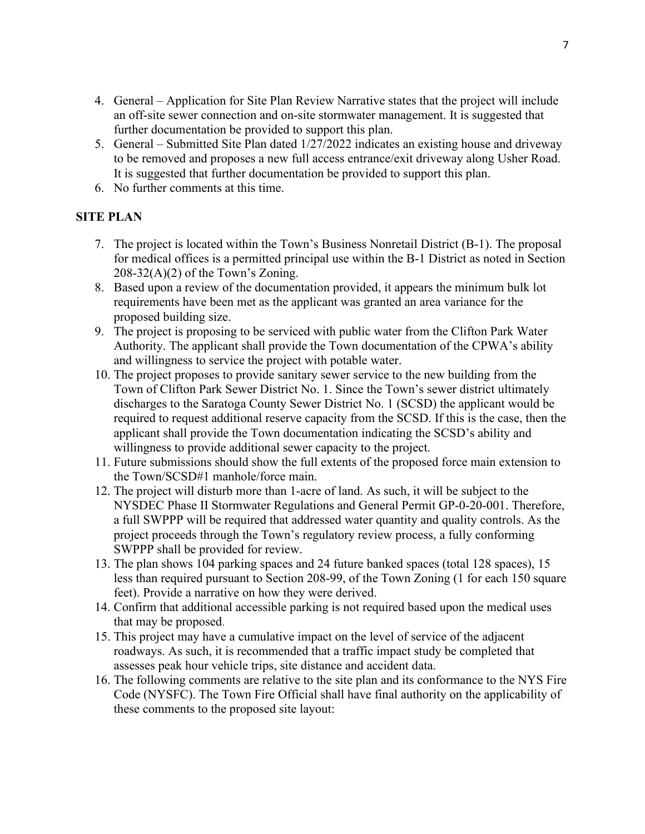- 4. General Application for Site Plan Review Narrative states that the project will include an off-site sewer connection and on-site stormwater management. It is suggested that further documentation be provided to support this plan.
- 5. General Submitted Site Plan dated 1/27/2022 indicates an existing house and driveway to be removed and proposes a new full access entrance/exit driveway along Usher Road. It is suggested that further documentation be provided to support this plan.
- 6. No further comments at this time.

## **SITE PLAN**

- 7. The project is located within the Town's Business Nonretail District (B-1). The proposal for medical offices is a permitted principal use within the B-1 District as noted in Section  $208-32(A)(2)$  of the Town's Zoning.
- 8. Based upon a review of the documentation provided, it appears the minimum bulk lot requirements have been met as the applicant was granted an area variance for the proposed building size.
- 9. The project is proposing to be serviced with public water from the Clifton Park Water Authority. The applicant shall provide the Town documentation of the CPWA's ability and willingness to service the project with potable water.
- 10. The project proposes to provide sanitary sewer service to the new building from the Town of Clifton Park Sewer District No. 1. Since the Town's sewer district ultimately discharges to the Saratoga County Sewer District No. 1 (SCSD) the applicant would be required to request additional reserve capacity from the SCSD. If this is the case, then the applicant shall provide the Town documentation indicating the SCSD's ability and willingness to provide additional sewer capacity to the project.
- 11. Future submissions should show the full extents of the proposed force main extension to the Town/SCSD#1 manhole/force main.
- 12. The project will disturb more than 1-acre of land. As such, it will be subject to the NYSDEC Phase II Stormwater Regulations and General Permit GP-0-20-001. Therefore, a full SWPPP will be required that addressed water quantity and quality controls. As the project proceeds through the Town's regulatory review process, a fully conforming SWPPP shall be provided for review.
- 13. The plan shows 104 parking spaces and 24 future banked spaces (total 128 spaces), 15 less than required pursuant to Section 208-99, of the Town Zoning (1 for each 150 square feet). Provide a narrative on how they were derived.
- 14. Confirm that additional accessible parking is not required based upon the medical uses that may be proposed.
- 15. This project may have a cumulative impact on the level of service of the adjacent roadways. As such, it is recommended that a traffic impact study be completed that assesses peak hour vehicle trips, site distance and accident data.
- 16. The following comments are relative to the site plan and its conformance to the NYS Fire Code (NYSFC). The Town Fire Official shall have final authority on the applicability of these comments to the proposed site layout: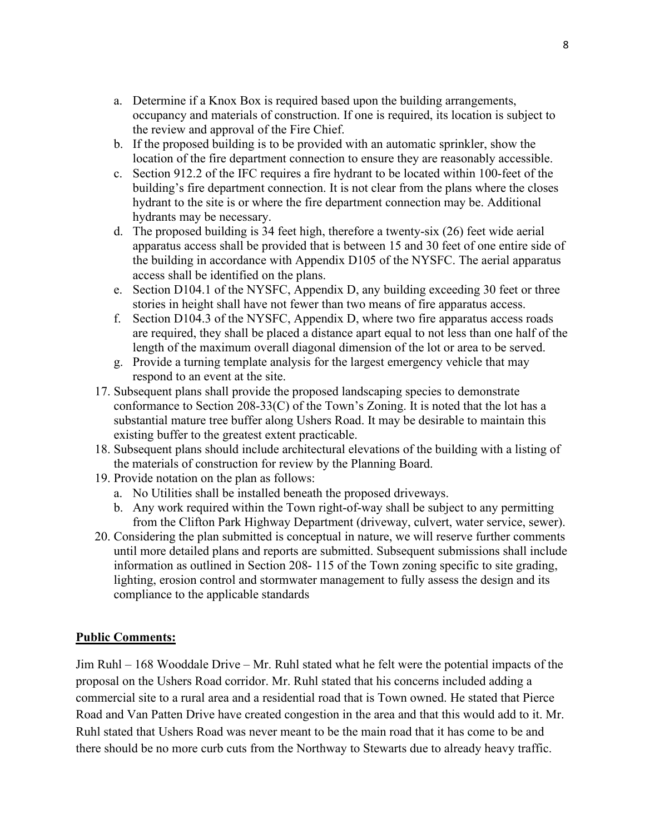- a. Determine if a Knox Box is required based upon the building arrangements, occupancy and materials of construction. If one is required, its location is subject to the review and approval of the Fire Chief.
- b. If the proposed building is to be provided with an automatic sprinkler, show the location of the fire department connection to ensure they are reasonably accessible.
- c. Section 912.2 of the IFC requires a fire hydrant to be located within 100-feet of the building's fire department connection. It is not clear from the plans where the closes hydrant to the site is or where the fire department connection may be. Additional hydrants may be necessary.
- d. The proposed building is 34 feet high, therefore a twenty-six (26) feet wide aerial apparatus access shall be provided that is between 15 and 30 feet of one entire side of the building in accordance with Appendix D105 of the NYSFC. The aerial apparatus access shall be identified on the plans.
- e. Section D104.1 of the NYSFC, Appendix D, any building exceeding 30 feet or three stories in height shall have not fewer than two means of fire apparatus access.
- f. Section D104.3 of the NYSFC, Appendix D, where two fire apparatus access roads are required, they shall be placed a distance apart equal to not less than one half of the length of the maximum overall diagonal dimension of the lot or area to be served.
- g. Provide a turning template analysis for the largest emergency vehicle that may respond to an event at the site.
- 17. Subsequent plans shall provide the proposed landscaping species to demonstrate conformance to Section 208-33(C) of the Town's Zoning. It is noted that the lot has a substantial mature tree buffer along Ushers Road. It may be desirable to maintain this existing buffer to the greatest extent practicable.
- 18. Subsequent plans should include architectural elevations of the building with a listing of the materials of construction for review by the Planning Board.
- 19. Provide notation on the plan as follows:
	- a. No Utilities shall be installed beneath the proposed driveways.
	- b. Any work required within the Town right-of-way shall be subject to any permitting from the Clifton Park Highway Department (driveway, culvert, water service, sewer).
- 20. Considering the plan submitted is conceptual in nature, we will reserve further comments until more detailed plans and reports are submitted. Subsequent submissions shall include information as outlined in Section 208- 115 of the Town zoning specific to site grading, lighting, erosion control and stormwater management to fully assess the design and its compliance to the applicable standards

## **Public Comments:**

Jim Ruhl – 168 Wooddale Drive – Mr. Ruhl stated what he felt were the potential impacts of the proposal on the Ushers Road corridor. Mr. Ruhl stated that his concerns included adding a commercial site to a rural area and a residential road that is Town owned. He stated that Pierce Road and Van Patten Drive have created congestion in the area and that this would add to it. Mr. Ruhl stated that Ushers Road was never meant to be the main road that it has come to be and there should be no more curb cuts from the Northway to Stewarts due to already heavy traffic.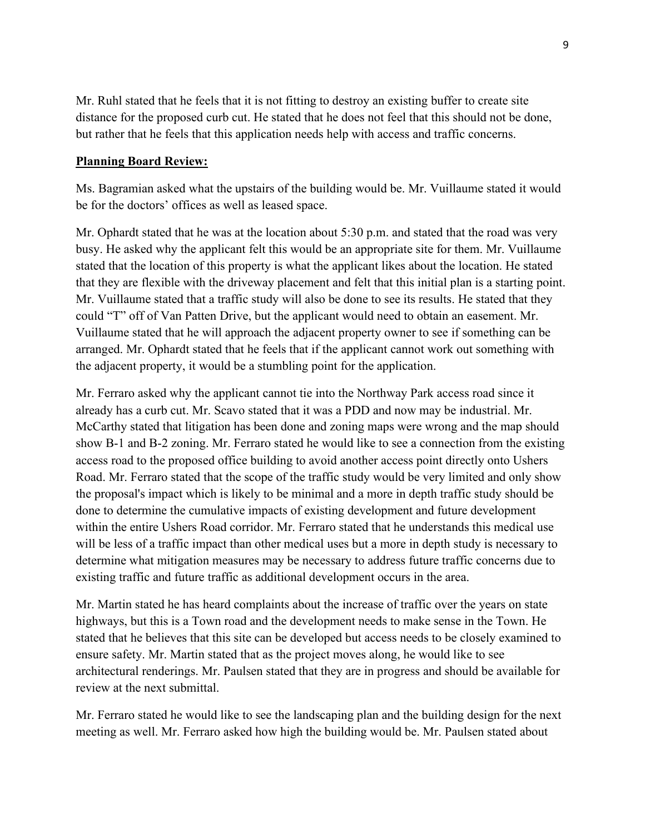Mr. Ruhl stated that he feels that it is not fitting to destroy an existing buffer to create site distance for the proposed curb cut. He stated that he does not feel that this should not be done, but rather that he feels that this application needs help with access and traffic concerns.

## **Planning Board Review:**

Ms. Bagramian asked what the upstairs of the building would be. Mr. Vuillaume stated it would be for the doctors' offices as well as leased space.

Mr. Ophardt stated that he was at the location about 5:30 p.m. and stated that the road was very busy. He asked why the applicant felt this would be an appropriate site for them. Mr. Vuillaume stated that the location of this property is what the applicant likes about the location. He stated that they are flexible with the driveway placement and felt that this initial plan is a starting point. Mr. Vuillaume stated that a traffic study will also be done to see its results. He stated that they could "T" off of Van Patten Drive, but the applicant would need to obtain an easement. Mr. Vuillaume stated that he will approach the adjacent property owner to see if something can be arranged. Mr. Ophardt stated that he feels that if the applicant cannot work out something with the adjacent property, it would be a stumbling point for the application.

Mr. Ferraro asked why the applicant cannot tie into the Northway Park access road since it already has a curb cut. Mr. Scavo stated that it was a PDD and now may be industrial. Mr. McCarthy stated that litigation has been done and zoning maps were wrong and the map should show B-1 and B-2 zoning. Mr. Ferraro stated he would like to see a connection from the existing access road to the proposed office building to avoid another access point directly onto Ushers Road. Mr. Ferraro stated that the scope of the traffic study would be very limited and only show the proposal's impact which is likely to be minimal and a more in depth traffic study should be done to determine the cumulative impacts of existing development and future development within the entire Ushers Road corridor. Mr. Ferraro stated that he understands this medical use will be less of a traffic impact than other medical uses but a more in depth study is necessary to determine what mitigation measures may be necessary to address future traffic concerns due to existing traffic and future traffic as additional development occurs in the area.

Mr. Martin stated he has heard complaints about the increase of traffic over the years on state highways, but this is a Town road and the development needs to make sense in the Town. He stated that he believes that this site can be developed but access needs to be closely examined to ensure safety. Mr. Martin stated that as the project moves along, he would like to see architectural renderings. Mr. Paulsen stated that they are in progress and should be available for review at the next submittal.

Mr. Ferraro stated he would like to see the landscaping plan and the building design for the next meeting as well. Mr. Ferraro asked how high the building would be. Mr. Paulsen stated about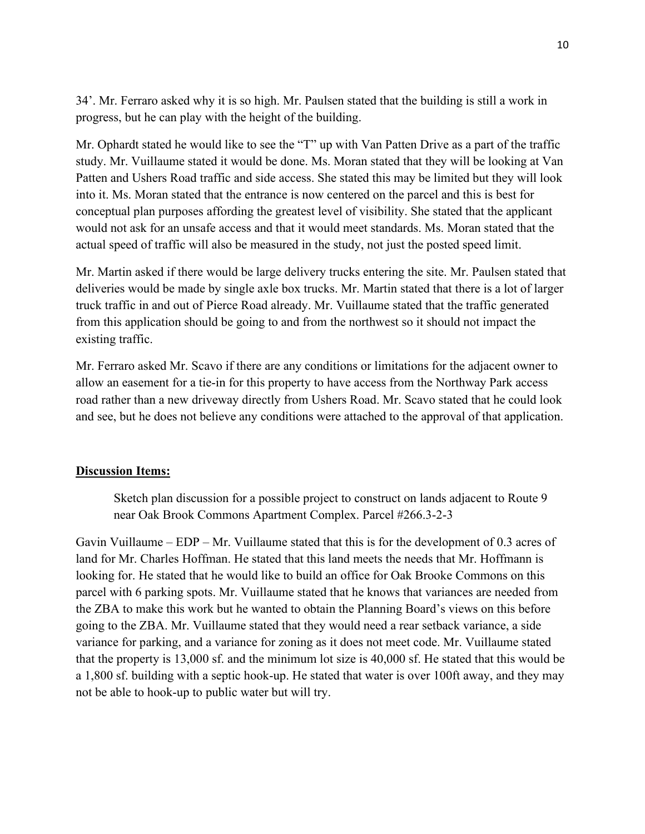34'. Mr. Ferraro asked why it is so high. Mr. Paulsen stated that the building is still a work in progress, but he can play with the height of the building.

Mr. Ophardt stated he would like to see the "T" up with Van Patten Drive as a part of the traffic study. Mr. Vuillaume stated it would be done. Ms. Moran stated that they will be looking at Van Patten and Ushers Road traffic and side access. She stated this may be limited but they will look into it. Ms. Moran stated that the entrance is now centered on the parcel and this is best for conceptual plan purposes affording the greatest level of visibility. She stated that the applicant would not ask for an unsafe access and that it would meet standards. Ms. Moran stated that the actual speed of traffic will also be measured in the study, not just the posted speed limit.

Mr. Martin asked if there would be large delivery trucks entering the site. Mr. Paulsen stated that deliveries would be made by single axle box trucks. Mr. Martin stated that there is a lot of larger truck traffic in and out of Pierce Road already. Mr. Vuillaume stated that the traffic generated from this application should be going to and from the northwest so it should not impact the existing traffic.

Mr. Ferraro asked Mr. Scavo if there are any conditions or limitations for the adjacent owner to allow an easement for a tie-in for this property to have access from the Northway Park access road rather than a new driveway directly from Ushers Road. Mr. Scavo stated that he could look and see, but he does not believe any conditions were attached to the approval of that application.

#### **Discussion Items:**

Sketch plan discussion for a possible project to construct on lands adjacent to Route 9 near Oak Brook Commons Apartment Complex. Parcel #266.3-2-3

Gavin Vuillaume – EDP – Mr. Vuillaume stated that this is for the development of 0.3 acres of land for Mr. Charles Hoffman. He stated that this land meets the needs that Mr. Hoffmann is looking for. He stated that he would like to build an office for Oak Brooke Commons on this parcel with 6 parking spots. Mr. Vuillaume stated that he knows that variances are needed from the ZBA to make this work but he wanted to obtain the Planning Board's views on this before going to the ZBA. Mr. Vuillaume stated that they would need a rear setback variance, a side variance for parking, and a variance for zoning as it does not meet code. Mr. Vuillaume stated that the property is 13,000 sf. and the minimum lot size is 40,000 sf. He stated that this would be a 1,800 sf. building with a septic hook-up. He stated that water is over 100ft away, and they may not be able to hook-up to public water but will try.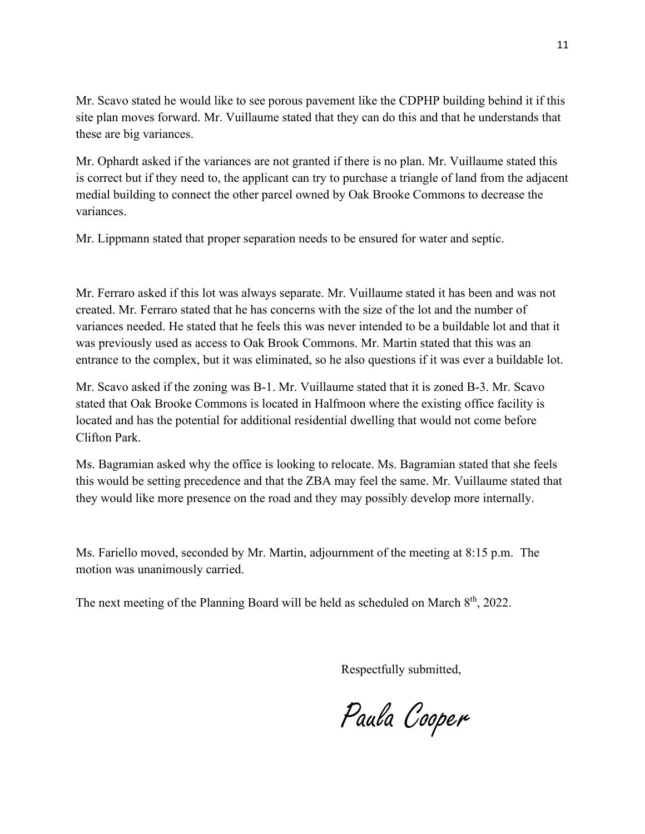Mr. Scavo stated he would like to see porous pavement like the CDPHP building behind it if this site plan moves forward. Mr. Vuillaume stated that they can do this and that he understands that these are big variances.

Mr. Ophardt asked if the variances are not granted if there is no plan. Mr. Vuillaume stated this is correct but if they need to, the applicant can try to purchase a triangle of land from the adjacent medial building to connect the other parcel owned by Oak Brooke Commons to decrease the variances.

Mr. Lippmann stated that proper separation needs to be ensured for water and septic.

Mr. Ferraro asked if this lot was always separate. Mr. Vuillaume stated it has been and was not created. Mr. Ferraro stated that he has concerns with the size of the lot and the number of variances needed. He stated that he feels this was never intended to be a buildable lot and that it was previously used as access to Oak Brook Commons. Mr. Martin stated that this was an entrance to the complex, but it was eliminated, so he also questions if it was ever a buildable lot.

Mr. Scavo asked if the zoning was B-1. Mr. Vuillaume stated that it is zoned B-3. Mr. Scavo stated that Oak Brooke Commons is located in Halfmoon where the existing office facility is located and has the potential for additional residential dwelling that would not come before Clifton Park.

Ms. Bagramian asked why the office is looking to relocate. Ms. Bagramian stated that she feels this would be setting precedence and that the ZBA may feel the same. Mr. Vuillaume stated that they would like more presence on the road and they may possibly develop more internally.

Ms. Fariello moved, seconded by Mr. Martin, adjournment of the meeting at 8:15 p.m. The motion was unanimously carried.

The next meeting of the Planning Board will be held as scheduled on March 8<sup>th</sup>, 2022.

Respectfully submitted,

Paula Cooper